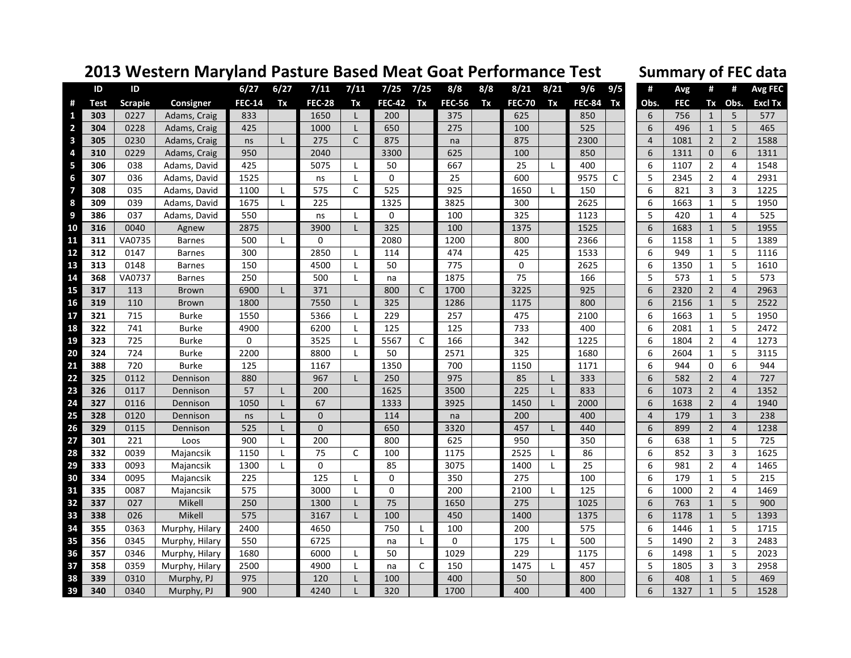## **2013 Western Maryland Pasture Based Meat Goat Performance Test**

## **Summary of FEC data**

|                  | ID          | ID             |                  | 6/27          | 6/27         | 7/11          | 7/11              | 7/25              | 7/25         | 8/8           | 8/8 | 8/21          | 8/21         | 9/6           | 9/5 | #              | Avg         | #                              | #              | Avg FEC        |
|------------------|-------------|----------------|------------------|---------------|--------------|---------------|-------------------|-------------------|--------------|---------------|-----|---------------|--------------|---------------|-----|----------------|-------------|--------------------------------|----------------|----------------|
| #                | <b>Test</b> | <b>Scrapie</b> | Consigner        | <b>FEC-14</b> | Tx           | <b>FEC-28</b> | Tx                | <b>FEC-42</b>     | Tx           | <b>FEC-56</b> | Tx  | <b>FEC-70</b> | Tx           | <b>FEC-84</b> | Tx  | Obs.           | <b>FEC</b>  | Tx                             | Obs.           | <b>Excl Tx</b> |
| 1                | 303         | 0227           | Adams, Craig     | 833           |              | 1650          | L                 | 200               |              | 375           |     | 625           |              | 850           |     | 6              | 756         | $\mathbf{1}$                   | 5              | 577            |
| $\overline{2}$   | 304         | 0228           | Adams, Craig     | 425           |              | 1000          | L                 | 650               |              | 275           |     | 100           |              | 525           |     | 6              | 496         | $\mathbf{1}$                   | 5              | 465            |
| 3                | 305         | 0230           | Adams, Craig     | ns            | $\mathsf{I}$ | 275           | $\mathsf C$       | 875               |              | na            |     | 875           |              | 2300          |     | $\overline{4}$ | 1081        | $\overline{2}$                 | $\overline{2}$ | 1588           |
| 4                | 310         | 0229           | Adams, Craig     | 950           |              | 2040          |                   | 3300              |              | 625           |     | 100           |              | 850           |     | 6              | 1311        | $\mathbf 0$                    | 6              | 1311           |
| 5                | 306         | 038            | Adams, David     | 425           |              | 5075          | L                 | 50                |              | 667           |     | 25            |              | 400           |     | 6              | 1107        | $\overline{2}$                 | 4              | 1548           |
| $\boldsymbol{6}$ | 307         | 036            | Adams, David     | 1525          |              | ns            | L                 | $\mathbf 0$       |              | 25            |     | 600           |              | 9575          | С   | 5              | 2345        | $\overline{2}$                 | 4              | 2931           |
| 7                | 308         | 035            | Adams, David     | 1100          | $\mathbf{I}$ | 575           | $\mathsf{C}$      | 525               |              | 925           |     | 1650          | $\mathbf{I}$ | 150           |     | 6              | 821         | 3                              | 3              | 1225           |
| 8                | 309         | 039            | Adams, David     | 1675          | $\mathbf{I}$ | 225           |                   | 1325              |              | 3825          |     | 300           |              | 2625          |     | 6              | 1663        | $\mathbf{1}$                   | 5              | 1950           |
| 9                | 386         | 037            | Adams, David     | 550           |              | ns            | L                 | $\Omega$          |              | 100           |     | 325           |              | 1123          |     | 5              | 420         | $\mathbf{1}$                   | 4              | 525            |
| 10               | 316         | 0040           | Agnew            | 2875          |              | 3900          | L                 | 325               |              | 100           |     | 1375          |              | 1525          |     | 6              | 1683        | $\mathbf{1}$                   | 5              | 1955           |
| 11               | 311         | VA0735         | <b>Barnes</b>    | 500           | L            | 0             |                   | 2080              |              | 1200          |     | 800           |              | 2366          |     | 6              | 1158        | 1                              | 5              | 1389           |
| 12               | 312         | 0147           | <b>Barnes</b>    | 300           |              | 2850          | L                 | 114               |              | 474           |     | 425           |              | 1533          |     | 6              | 949         | 1                              | 5              | 1116           |
| 13               | 313         | 0148           | <b>Barnes</b>    | 150           |              | 4500          | $\mathbf{I}$      | 50                |              | 775           |     | $\mathbf 0$   |              | 2625          |     | 6              | 1350        | $\mathbf{1}$                   | 5              | 1610           |
| 14               | 368         | <b>VA0737</b>  | <b>Barnes</b>    | 250           |              | 500           | $\mathsf{L}$      | na                |              | 1875          |     | 75            |              | 166           |     | 5              | 573         | $\mathbf{1}$                   | 5              | 573            |
| 15               | 317         | 113            | <b>Brown</b>     | 6900          | $\mathbf{I}$ | 371           |                   | 800               | $\mathsf{C}$ | 1700          |     | 3225          |              | 925           |     | 6              | 2320        | $\overline{2}$                 | $\overline{4}$ | 2963           |
| 16               | 319         | 110            | <b>Brown</b>     | 1800          |              | 7550          | L                 | 325               |              | 1286          |     | 1175          |              | 800           |     | 6              | 2156        | $1\,$                          | 5              | 2522           |
| 17               | 321         | 715            | <b>Burke</b>     | 1550          |              | 5366          | L                 | 229               |              | 257           |     | 475           |              | 2100          |     | 6              | 1663        | 1                              | 5              | 1950           |
| 18               | 322         | 741            | <b>Burke</b>     | 4900          |              | 6200          | $\mathsf{L}$      | 125               |              | 125           |     | 733           |              | 400           |     | 6              | 2081        | $\mathbf{1}$                   | 5              | 2472           |
| 19               | 323         | 725            | <b>Burke</b>     | 0             |              | 3525          | L                 | 5567              | C            | 166           |     | 342           |              | 1225          |     | 6              | 1804        | $\overline{2}$                 | 4              | 1273           |
| 20               | 324         | 724            | <b>Burke</b>     | 2200          |              | 8800          | L                 | 50                |              | 2571          |     | 325           |              | 1680          |     | 6              | 2604        | $\mathbf{1}$                   | 5              | 3115           |
| 21               | 388         | 720            | <b>Burke</b>     | 125           |              | 1167          |                   | 1350              |              | 700           |     | 1150          |              | 1171          |     | 6              | 944         | $\Omega$                       | 6              | 944            |
| 22               | 325         | 0112           | Dennison         | 880           |              | 967           |                   | 250               |              | 975           |     | 85            |              | 333           |     | 6              | 582         | $\overline{2}$                 | 4              | 727            |
| 23               | 326         | 0117           | Dennison         | 57            | L            | 200           |                   | 1625              |              | 3500          |     | 225           |              | 833           |     | 6              | 1073        | $\overline{2}$                 | $\overline{4}$ | 1352           |
| 24               | 327         | 0116           | Dennison         | 1050          | L            | 67            |                   | 1333              |              | 3925          |     | 1450          |              | 2000          |     | 6              | 1638        | $\overline{2}$                 | $\overline{4}$ | 1940           |
| 25               | 328         | 0120           | Dennison         | ns            | L            | $\mathbf{0}$  |                   | 114               |              | na            |     | 200           |              | 400           |     | $\overline{4}$ | 179         | $\mathbf{1}$                   | 3              | 238            |
| 26               | 329         | 0115           | Dennison         | 525           | $\mathbf{I}$ | $\mathbf{0}$  |                   | 650               |              | 3320          |     | 457           | L            | 440           |     | 6              | 899         | $\overline{2}$                 | $\overline{4}$ | 1238           |
| 27               | 301         | 221            | Loos             | 900           | L            | 200           |                   | 800               |              | 625           |     | 950           |              | 350           |     | 6              | 638         | $\mathbf{1}$                   | 5              | 725            |
| 28               | 332         | 0039           | Majancsik        | 1150          | L            | 75            | C                 | 100               |              | 1175          |     | 2525          | L            | 86            |     | 6              | 852         | 3                              | 3              | 1625           |
| 29               | 333         | 0093           | Majancsik        | 1300          | $\mathsf{L}$ | $\mathbf 0$   |                   | 85                |              | 3075          |     | 1400          | L            | 25            |     | 6              | 981         | $\overline{2}$                 | 4              | 1465           |
| 30               | 334         | 0095           | Majancsik        | 225           |              | 125           | L                 | 0                 |              | 350           |     | 275           |              | 100           |     | 6              | 179         | 1                              | 5              | 215            |
| 31               | 335         | 0087           | Majancsik        | 575           |              | 3000          | $\mathsf{L}$      | $\mathbf 0$<br>75 |              | 200           |     | 2100          | L            | 125           |     | 6              | 1000<br>763 | $\overline{2}$                 | 4<br>5         | 1469<br>900    |
| 32               | 337<br>338  | 027            | Mikell<br>Mikell | 250<br>575    |              | 1300<br>3167  | L<br>$\mathbf{I}$ | 100               |              | 1650<br>450   |     | 275           |              | 1025<br>1375  |     | 6<br>6         | 1178        | $\mathbf{1}$<br>$\mathbf{1}$   | 5              | 1393           |
| 33<br>34         | 355         | 026<br>0363    |                  | 2400          |              | 4650          |                   | 750               |              | 100           |     | 1400<br>200   |              | 575           |     | 6              | 1446        | $\mathbf{1}$                   | 5              | 1715           |
| 35               | 356         | 0345           | Murphy, Hilary   | 550           |              | 6725          |                   |                   | L            | $\mathbf 0$   |     | 175           |              | 500           |     | 5              | 1490        |                                | 3              | 2483           |
| 36               | 357         | 0346           | Murphy, Hilary   | 1680          |              | 6000          | $\mathbf{I}$      | na<br>50          | L            | 1029          |     | 229           | L            | 1175          |     | 6              | 1498        | $\overline{2}$<br>$\mathbf{1}$ | 5              | 2023           |
| 37               | 358         | 0359           | Murphy, Hilary   | 2500          |              | 4900          | L                 |                   | C            | 150           |     | 1475          | L            | 457           |     | 5              | 1805        | 3                              | 3              | 2958           |
| 38               | 339         | 0310           | Murphy, Hilary   | 975           |              | 120           | $\mathsf{I}$      | na<br>100         |              | 400           |     | 50            |              | 800           |     | 6              | 408         | $\mathbf{1}$                   | 5              | 469            |
| 39               | 340         | 0340           | Murphy, PJ       | 900           |              | 4240          |                   | 320               |              | 1700          |     | 400           |              | 400           |     | 6              | 1327        | $\mathbf 1$                    | 5              | 1528           |
|                  |             |                | Murphy, PJ       |               |              |               |                   |                   |              |               |     |               |              |               |     |                |             |                                |                |                |